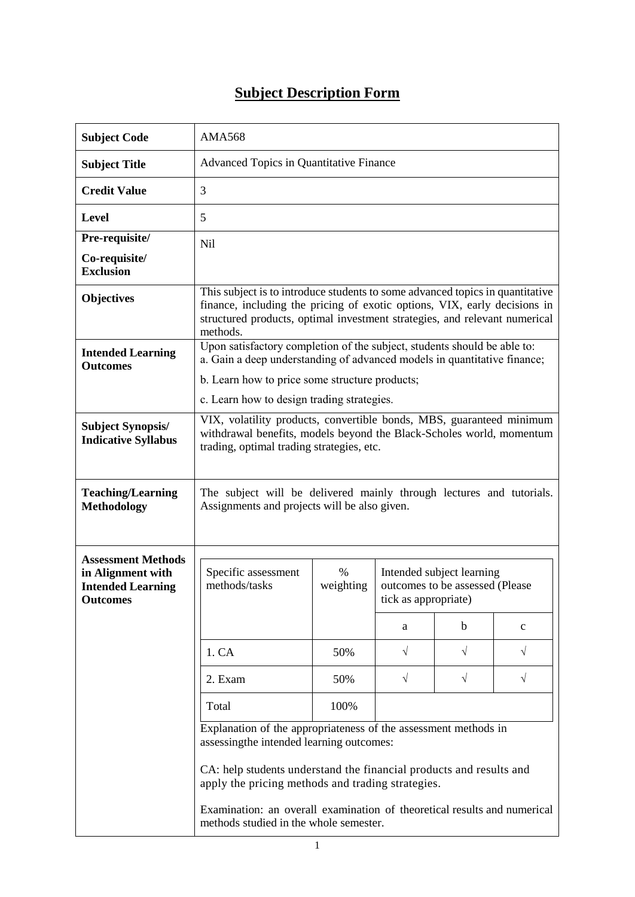## **Subject Description Form**

| <b>Subject Code</b>                                              | <b>AMA568</b>                                                                                                                                                                                                                                        |                   |                                                                                      |           |              |  |
|------------------------------------------------------------------|------------------------------------------------------------------------------------------------------------------------------------------------------------------------------------------------------------------------------------------------------|-------------------|--------------------------------------------------------------------------------------|-----------|--------------|--|
| <b>Subject Title</b>                                             | <b>Advanced Topics in Quantitative Finance</b>                                                                                                                                                                                                       |                   |                                                                                      |           |              |  |
| <b>Credit Value</b>                                              | 3                                                                                                                                                                                                                                                    |                   |                                                                                      |           |              |  |
| Level                                                            | 5                                                                                                                                                                                                                                                    |                   |                                                                                      |           |              |  |
| Pre-requisite/                                                   | Nil                                                                                                                                                                                                                                                  |                   |                                                                                      |           |              |  |
| Co-requisite/<br><b>Exclusion</b>                                |                                                                                                                                                                                                                                                      |                   |                                                                                      |           |              |  |
| <b>Objectives</b>                                                | This subject is to introduce students to some advanced topics in quantitative<br>finance, including the pricing of exotic options, VIX, early decisions in<br>structured products, optimal investment strategies, and relevant numerical<br>methods. |                   |                                                                                      |           |              |  |
| <b>Intended Learning</b>                                         | Upon satisfactory completion of the subject, students should be able to:<br>a. Gain a deep understanding of advanced models in quantitative finance;                                                                                                 |                   |                                                                                      |           |              |  |
| <b>Outcomes</b>                                                  | b. Learn how to price some structure products;                                                                                                                                                                                                       |                   |                                                                                      |           |              |  |
|                                                                  | c. Learn how to design trading strategies.                                                                                                                                                                                                           |                   |                                                                                      |           |              |  |
| <b>Subject Synopsis/</b><br><b>Indicative Syllabus</b>           | VIX, volatility products, convertible bonds, MBS, guaranteed minimum<br>withdrawal benefits, models beyond the Black-Scholes world, momentum<br>trading, optimal trading strategies, etc.                                                            |                   |                                                                                      |           |              |  |
| <b>Teaching/Learning</b><br><b>Methodology</b>                   | The subject will be delivered mainly through lectures and tutorials.<br>Assignments and projects will be also given.                                                                                                                                 |                   |                                                                                      |           |              |  |
| <b>Assessment Methods</b>                                        |                                                                                                                                                                                                                                                      |                   |                                                                                      |           |              |  |
| in Alignment with<br><b>Intended Learning</b><br><b>Outcomes</b> | Specific assessment<br>methods/tasks                                                                                                                                                                                                                 | $\%$<br>weighting | Intended subject learning<br>outcomes to be assessed (Please<br>tick as appropriate) |           |              |  |
|                                                                  |                                                                                                                                                                                                                                                      |                   | a                                                                                    | b         | $\mathbf{C}$ |  |
|                                                                  | 1. CA                                                                                                                                                                                                                                                | 50%               | $\sqrt{}$                                                                            | $\sqrt{}$ | √            |  |
|                                                                  | 2. Exam                                                                                                                                                                                                                                              | 50%               | $\sqrt{}$                                                                            | $\sqrt{}$ | $\sqrt{ }$   |  |
|                                                                  | Total                                                                                                                                                                                                                                                | 100%              |                                                                                      |           |              |  |
|                                                                  | Explanation of the appropriateness of the assessment methods in<br>assessingthe intended learning outcomes:                                                                                                                                          |                   |                                                                                      |           |              |  |
|                                                                  | CA: help students understand the financial products and results and<br>apply the pricing methods and trading strategies.                                                                                                                             |                   |                                                                                      |           |              |  |
|                                                                  | Examination: an overall examination of theoretical results and numerical<br>methods studied in the whole semester.                                                                                                                                   |                   |                                                                                      |           |              |  |